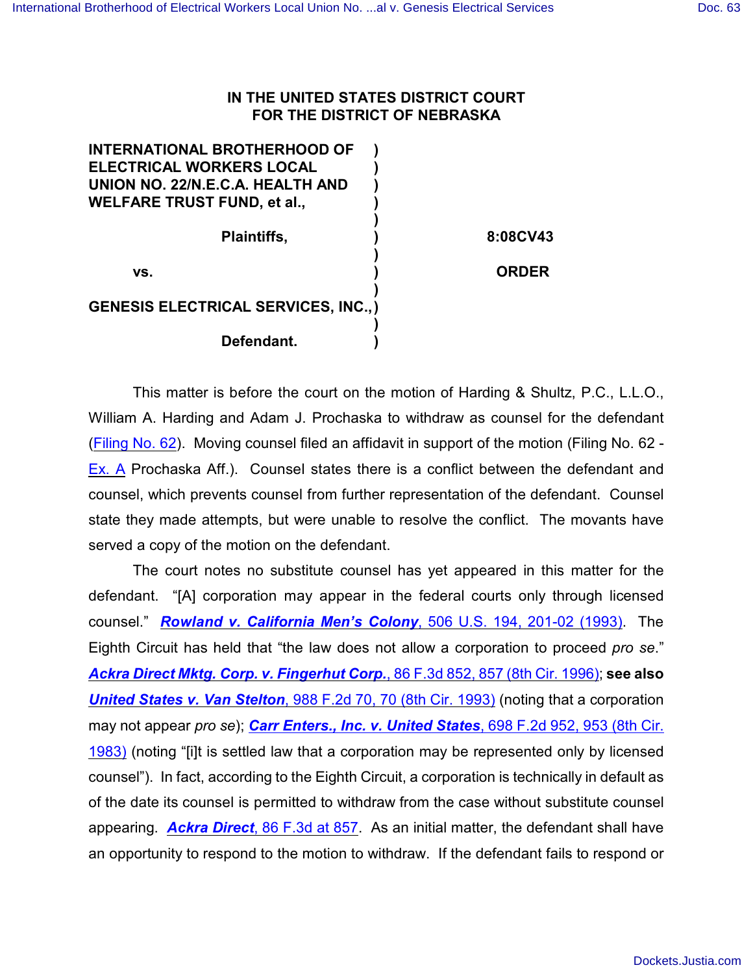## **IN THE UNITED STATES DISTRICT COURT FOR THE DISTRICT OF NEBRASKA**

| <b>INTERNATIONAL BROTHERHOOD OF</b>         |              |
|---------------------------------------------|--------------|
| <b>ELECTRICAL WORKERS LOCAL</b>             |              |
| UNION NO. 22/N.E.C.A. HEALTH AND            |              |
| <b>WELFARE TRUST FUND, et al.,</b>          |              |
|                                             |              |
| <b>Plaintiffs,</b>                          | 8:08CV43     |
|                                             |              |
| VS.                                         | <b>ORDER</b> |
|                                             |              |
| <b>GENESIS ELECTRICAL SERVICES, INC., )</b> |              |
|                                             |              |
| Defendant.                                  |              |
|                                             |              |

This matter is before the court on the motion of Harding & Shultz, P.C., L.L.O., William A. Harding and Adam J. Prochaska to withdraw as counsel for the defendant (Filing [No. 62](https://ecf.ned.uscourts.gov/doc1/11311681943)). Moving counsel filed an affidavit in support of the motion (Filing No. 62 - [Ex. A](https://ecf.ned.uscourts.gov/doc1/11311681944) Prochaska Aff.). Counsel states there is a conflict between the defendant and counsel, which prevents counsel from further representation of the defendant. Counsel state they made attempts, but were unable to resolve the conflict. The movants have served a copy of the motion on the defendant.

The court notes no substitute counsel has yet appeared in this matter for the defendant. "[A] corporation may appear in the federal courts only through licensed counsel." *[Rowland v. California Men's Colony](http://www.westlaw.com/find/default.wl?rs=CLWP3.0&vr=2.0&cite=506+U.S.+194)*, 506 U.S. 194, 201-02 (1993). The Eighth Circuit has held that "the law does not allow a corporation to proceed *pro se*." *Ackra [Direct Mktg. Corp. v. Fingerhut Corp.](http://www.westlaw.com/find/default.wl?rs=CLWP3.0&vr=2.0&cite=86+F.3d+852)*, 86 F.3d 852, 857 (8th Cir. 1996); **see also** *[United States v. Van Stelton](http://www.westlaw.com/find/default.wl?rs=CLWP3.0&vr=2.0&cite=988+F.2d+70)*, 988 F.2d 70, 70 (8th Cir. 1993) (noting that a corporation may not appear *pro se*); *[Carr Enters., Inc. v. United States](http://www.westlaw.com/find/default.wl?rs=CLWP3.0&vr=2.0&cite=698+F.2d+952)*, 698 F.2d 952, 953 (8th Cir. [1983\)](http://www.westlaw.com/find/default.wl?rs=CLWP3.0&vr=2.0&cite=698+F.2d+952) (noting "[i]t is settled law that a corporation may be represented only by licensed counsel"). In fact, according to the Eighth Circuit, a corporation is technically in default as of the date its counsel is permitted to withdraw from the case without substitute counsel appearing. *Ackra Direct*[, 86 F.3d at 857](http://www.westlaw.com/find/default.wl?rs=CLWP3.0&vr=2.0&cite=86+F.3d+857). As an initial matter, the defendant shall have an opportunity to respond to the motion to withdraw. If the defendant fails to respond or